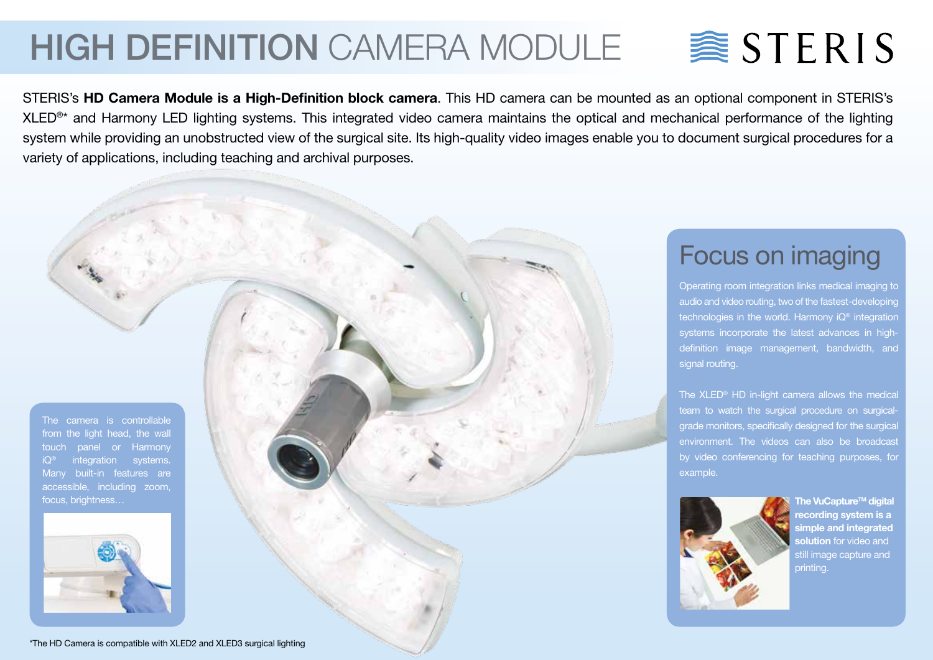## HIGH DEFINITION CAMERA MODULE

# $\geqslant$  STERIS

STERIS's **HD Camera Module is a High-Definition block camera**. This HD camera can be mounted as an optional component in STERIS's XLED<sup>®\*</sup> and Harmony LED lighting systems. This integrated video camera maintains the optical and mechanical performance of the lighting system while providing an unobstructed view of the surgical site. Its high-quality video images enable you to document surgical procedures for a variety of applications, including teaching and archival purposes.

The camera is controllable from the light head, the wall touch panel or Harmony integration systems. Many built-in features are accessible, including zoom, focus, brightness…



Focus on imaging

Operating room integration links medical imaging to audio and video routing, two of the fastest-developing technologies in the world. Harmony iQ® integration systems incorporate the latest advances in highdefinition image management, bandwidth, and signal routing.

The XLED® HD in-light camera allows the medica team to watch the surgical procedure on surgicalgrade monitors, specifically designed for the surgical environment. The videos can also be broadcast by video conferencing for teaching purposes, for example.



**The VuCapture™ digital recording system is a simple and integrated solution** for video and still image capture and printing.